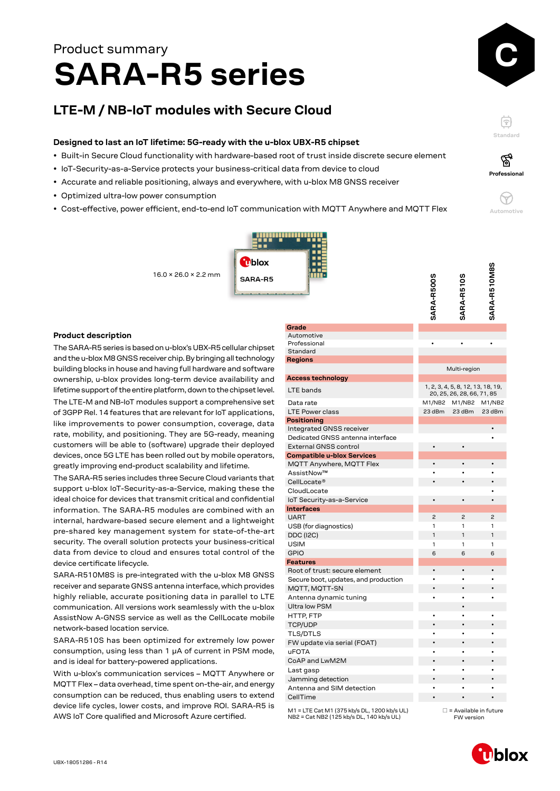# **SARA-R5 series** Product summary

## **LTE-M / NB-IoT modules with Secure Cloud**

#### **Designed to last an IoT lifetime: 5G-ready with the u-blox UBX-R5 chipset**

- Built-in Secure Cloud functionality with hardware-based root of trust inside discrete secure element
- IoT-Security-as-a-Service protects your business-critical data from device to cloud
- Accurate and reliable positioning, always and everywhere, with u-blox M8 GNSS receiver
- Optimized ultra-low power consumption
- Cost-effective, power efficient, end-to-end IoT communication with MQTT Anywhere and MQTT Flex



**Automotive**

 $\left(\rightarrow$ 

**Standard**

F

 $\bullet$ 



#### **Product description**

The SARA-R5 series is based on u-blox's UBX-R5 cellular chipset and the u-blox M8 GNSS receiver chip. By bringing all technology building blocks in house and having full hardware and software ownership, u-blox provides long-term device availability and lifetime support of the entire platform, down to the chipset level. The LTE-M and NB-IoT modules support a comprehensive set of 3GPP Rel. 14 features that are relevant for IoT applications, like improvements to power consumption, coverage, data rate, mobility, and positioning. They are 5G-ready, meaning customers will be able to (software) upgrade their deployed devices, once 5G LTE has been rolled out by mobile operators, greatly improving end-product scalability and lifetime.

The SARA-R5 series includes three Secure Cloud variants that support u-blox IoT-Security-as-a-Service, making these the ideal choice for devices that transmit critical and confidential information. The SARA-R5 modules are combined with an internal, hardware-based secure element and a lightweight pre-shared key management system for state-of-the-art security. The overall solution protects your business-critical data from device to cloud and ensures total control of the device certificate lifecycle.

SARA-R510M8S is pre-integrated with the u-blox M8 GNSS receiver and separate GNSS antenna interface, which provides highly reliable, accurate positioning data in parallel to LTE communication. All versions work seamlessly with the u-blox AssistNow A-GNSS service as well as the CellLocate mobile network-based location service.

SARA-R510S has been optimized for extremely low power consumption, using less than 1 μA of current in PSM mode, and is ideal for battery-powered applications.

With u-blox's communication services – MQTT Anywhere or MQTT Flex – data overhead, time spent on-the-air, and energy consumption can be reduced, thus enabling users to extend device life cycles, lower costs, and improve ROI. SARA-R5 is AWS IoT Core qualified and Microsoft Azure certified.

|                                      | SARA-R500S     | SARA-R510S                                                      | SARA-R510M8S   |
|--------------------------------------|----------------|-----------------------------------------------------------------|----------------|
| Grade                                |                |                                                                 |                |
| Automotive                           |                |                                                                 |                |
| Professional                         |                |                                                                 |                |
| Standard                             |                |                                                                 |                |
| <b>Regions</b>                       |                | Multi-region                                                    |                |
| <b>Access technology</b>             |                |                                                                 |                |
| LTE bands                            |                | 1, 2, 3, 4, 5, 8, 12, 13, 18, 19,<br>20, 25, 26, 28, 66, 71, 85 |                |
| Data rate                            | M1/NB2         | M1/NB2                                                          | M1/NB2         |
| <b>LTE Power class</b>               | 23 dBm         | 23 dBm                                                          | 23 dBm         |
| <b>Positioning</b>                   |                |                                                                 |                |
| Integrated GNSS receiver             |                |                                                                 |                |
| Dedicated GNSS antenna interface     |                |                                                                 |                |
| <b>External GNSS control</b>         | $\bullet$      | $\bullet$                                                       |                |
| <b>Compatible u-blox Services</b>    |                |                                                                 |                |
| MQTT Anywhere, MQTT Flex             |                |                                                                 |                |
| AssistNow™                           |                |                                                                 |                |
| CellLocate <sup>®</sup>              |                |                                                                 |                |
| CloudLocate                          |                |                                                                 |                |
| IoT Security-as-a-Service            | $\bullet$      | $\bullet$                                                       |                |
| <b>Interfaces</b>                    |                |                                                                 |                |
| <b>UART</b>                          | $\overline{c}$ | $\overline{c}$                                                  | $\overline{c}$ |
| USB (for diagnostics)                | 1              | 1                                                               | 1              |
| <b>DDC (I2C)</b>                     | 1              | 1                                                               | 1              |
| <b>USIM</b>                          | 1              | 1                                                               | 1              |
| <b>GPIO</b>                          | 6              | 6                                                               | 6              |
| <b>Features</b>                      |                |                                                                 |                |
| Root of trust: secure element        | $\bullet$      | $\bullet$                                                       | $\bullet$      |
| Secure boot, updates, and production |                |                                                                 |                |
| MQTT, MQTT-SN                        | $\bullet$      |                                                                 |                |
| Antenna dynamic tuning               | $\bullet$      | ٠                                                               | ٠              |
| <b>Ultra low PSM</b>                 |                |                                                                 |                |
| HTTP, FTP                            |                |                                                                 |                |
| <b>TCP/UDP</b>                       |                |                                                                 |                |
| <b>TLS/DTLS</b>                      |                |                                                                 |                |
| FW update via serial (FOAT)          |                |                                                                 |                |
| <b>uFOTA</b>                         |                |                                                                 |                |
| CoAP and LwM2M                       |                |                                                                 |                |
| Last gasp                            |                |                                                                 |                |
| Jamming detection                    |                |                                                                 |                |
| Antenna and SIM detection            |                |                                                                 |                |
| CellTime                             |                |                                                                 |                |

M1 = LTE Cat M1 (375 kb/s DL, 1200 kb/s UL) NB2 = Cat NB2 (125 kb/s DL, 140 kb/s UL)

 $\Box$  = Available in future FW version